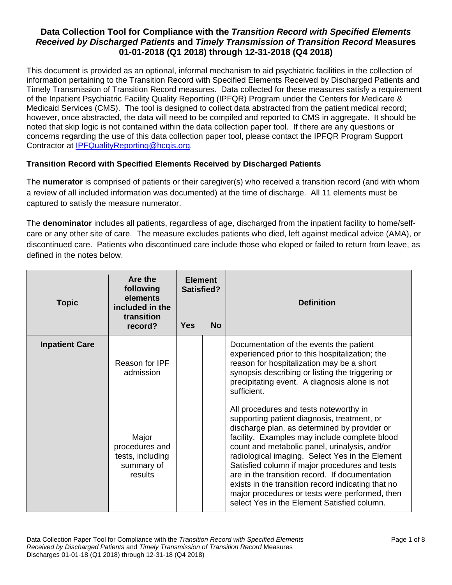This document is provided as an optional, informal mechanism to aid psychiatric facilities in the collection of information pertaining to the Transition Record with Specified Elements Received by Discharged Patients and Timely Transmission of Transition Record measures. Data collected for these measures satisfy a requirement of the Inpatient Psychiatric Facility Quality Reporting (IPFQR) Program under the Centers for Medicare & Medicaid Services (CMS). The tool is designed to collect data abstracted from the patient medical record; however, once abstracted, the data will need to be compiled and reported to CMS in aggregate. It should be noted that skip logic is not contained within the data collection paper tool. If there are any questions or concerns regarding the use of this data collection paper tool, please contact the IPFQR Program Support Contractor at [IPFQualityReporting@hcqis.org](mailto:IPFQualityReporting@hcqis.org)*.*

#### **Transition Record with Specified Elements Received by Discharged Patients**

The **numerator** is comprised of patients or their caregiver(s) who received a transition record (and with whom a review of all included information was documented) at the time of discharge. All 11 elements must be captured to satisfy the measure numerator.

The **denominator** includes all patients, regardless of age, discharged from the inpatient facility to home/selfcare or any other site of care. The measure excludes patients who died, left against medical advice (AMA), or discontinued care. Patients who discontinued care include those who eloped or failed to return from leave, as defined in the notes below.

| <b>Topic</b>          | Are the<br>following<br>elements<br>included in the<br>transition<br>record? | <b>Element</b><br>Satisfied?<br><b>No</b><br>Yes |  | <b>Definition</b>                                                                                                                                                                                                                                                                                                                                                                                                                                                                                                                                     |
|-----------------------|------------------------------------------------------------------------------|--------------------------------------------------|--|-------------------------------------------------------------------------------------------------------------------------------------------------------------------------------------------------------------------------------------------------------------------------------------------------------------------------------------------------------------------------------------------------------------------------------------------------------------------------------------------------------------------------------------------------------|
| <b>Inpatient Care</b> | Reason for IPF<br>admission                                                  |                                                  |  | Documentation of the events the patient<br>experienced prior to this hospitalization; the<br>reason for hospitalization may be a short<br>synopsis describing or listing the triggering or<br>precipitating event. A diagnosis alone is not<br>sufficient.                                                                                                                                                                                                                                                                                            |
|                       | Major<br>procedures and<br>tests, including<br>summary of<br>results         |                                                  |  | All procedures and tests noteworthy in<br>supporting patient diagnosis, treatment, or<br>discharge plan, as determined by provider or<br>facility. Examples may include complete blood<br>count and metabolic panel, urinalysis, and/or<br>radiological imaging. Select Yes in the Element<br>Satisfied column if major procedures and tests<br>are in the transition record. If documentation<br>exists in the transition record indicating that no<br>major procedures or tests were performed, then<br>select Yes in the Element Satisfied column. |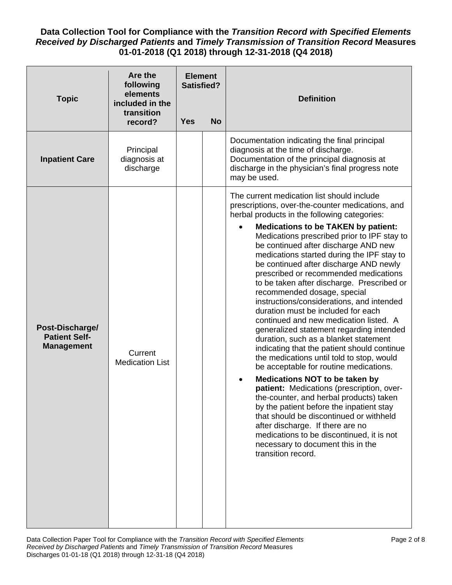| <b>Topic</b>                                                 | Are the<br>following<br>elements<br>included in the<br>transition | <b>Element</b><br><b>Satisfied?</b> |           | <b>Definition</b>                                                                                                                                                                                                                                                                                                                                                                                                                                                                                                                                                                                                                                                                                                                                                                                                                                                                                                                                                                                                                                                                                                                                                                                                                          |
|--------------------------------------------------------------|-------------------------------------------------------------------|-------------------------------------|-----------|--------------------------------------------------------------------------------------------------------------------------------------------------------------------------------------------------------------------------------------------------------------------------------------------------------------------------------------------------------------------------------------------------------------------------------------------------------------------------------------------------------------------------------------------------------------------------------------------------------------------------------------------------------------------------------------------------------------------------------------------------------------------------------------------------------------------------------------------------------------------------------------------------------------------------------------------------------------------------------------------------------------------------------------------------------------------------------------------------------------------------------------------------------------------------------------------------------------------------------------------|
|                                                              | record?                                                           | <b>Yes</b>                          | <b>No</b> |                                                                                                                                                                                                                                                                                                                                                                                                                                                                                                                                                                                                                                                                                                                                                                                                                                                                                                                                                                                                                                                                                                                                                                                                                                            |
| <b>Inpatient Care</b>                                        | Principal<br>diagnosis at<br>discharge                            |                                     |           | Documentation indicating the final principal<br>diagnosis at the time of discharge.<br>Documentation of the principal diagnosis at<br>discharge in the physician's final progress note<br>may be used.                                                                                                                                                                                                                                                                                                                                                                                                                                                                                                                                                                                                                                                                                                                                                                                                                                                                                                                                                                                                                                     |
| Post-Discharge/<br><b>Patient Self-</b><br><b>Management</b> | Current<br><b>Medication List</b>                                 |                                     |           | The current medication list should include<br>prescriptions, over-the-counter medications, and<br>herbal products in the following categories:<br><b>Medications to be TAKEN by patient:</b><br>$\bullet$<br>Medications prescribed prior to IPF stay to<br>be continued after discharge AND new<br>medications started during the IPF stay to<br>be continued after discharge AND newly<br>prescribed or recommended medications<br>to be taken after discharge. Prescribed or<br>recommended dosage, special<br>instructions/considerations, and intended<br>duration must be included for each<br>continued and new medication listed. A<br>generalized statement regarding intended<br>duration, such as a blanket statement<br>indicating that the patient should continue<br>the medications until told to stop, would<br>be acceptable for routine medications.<br><b>Medications NOT to be taken by</b><br>patient: Medications (prescription, over-<br>the-counter, and herbal products) taken<br>by the patient before the inpatient stay<br>that should be discontinued or withheld<br>after discharge. If there are no<br>medications to be discontinued, it is not<br>necessary to document this in the<br>transition record. |
|                                                              |                                                                   |                                     |           |                                                                                                                                                                                                                                                                                                                                                                                                                                                                                                                                                                                                                                                                                                                                                                                                                                                                                                                                                                                                                                                                                                                                                                                                                                            |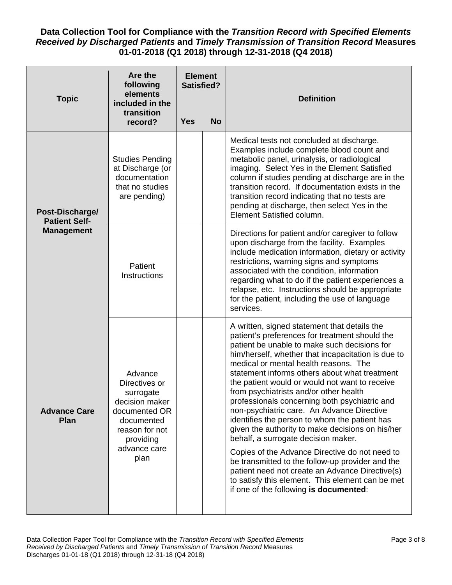| <b>Topic</b>                                                 | Are the<br>following<br>elements<br>included in the<br>transition                                                                             | <b>Element</b><br><b>Satisfied?</b> |           | <b>Definition</b>                                                                                                                                                                                                                                                                                                                                                                                                                                                                                                                                                                                                                                                                                                                                                                                                                                                                            |
|--------------------------------------------------------------|-----------------------------------------------------------------------------------------------------------------------------------------------|-------------------------------------|-----------|----------------------------------------------------------------------------------------------------------------------------------------------------------------------------------------------------------------------------------------------------------------------------------------------------------------------------------------------------------------------------------------------------------------------------------------------------------------------------------------------------------------------------------------------------------------------------------------------------------------------------------------------------------------------------------------------------------------------------------------------------------------------------------------------------------------------------------------------------------------------------------------------|
|                                                              | record?                                                                                                                                       | <b>Yes</b>                          | <b>No</b> |                                                                                                                                                                                                                                                                                                                                                                                                                                                                                                                                                                                                                                                                                                                                                                                                                                                                                              |
| Post-Discharge/<br><b>Patient Self-</b><br><b>Management</b> | <b>Studies Pending</b><br>at Discharge (or<br>documentation<br>that no studies<br>are pending)                                                |                                     |           | Medical tests not concluded at discharge.<br>Examples include complete blood count and<br>metabolic panel, urinalysis, or radiological<br>imaging. Select Yes in the Element Satisfied<br>column if studies pending at discharge are in the<br>transition record. If documentation exists in the<br>transition record indicating that no tests are<br>pending at discharge, then select Yes in the<br>Element Satisfied column.                                                                                                                                                                                                                                                                                                                                                                                                                                                              |
|                                                              | Patient<br><b>Instructions</b>                                                                                                                |                                     |           | Directions for patient and/or caregiver to follow<br>upon discharge from the facility. Examples<br>include medication information, dietary or activity<br>restrictions, warning signs and symptoms<br>associated with the condition, information<br>regarding what to do if the patient experiences a<br>relapse, etc. Instructions should be appropriate<br>for the patient, including the use of language<br>services.                                                                                                                                                                                                                                                                                                                                                                                                                                                                     |
| <b>Advance Care</b><br><b>Plan</b>                           | Advance<br>Directives or<br>surrogate<br>decision maker<br>documented OR<br>documented<br>reason for not<br>providing<br>advance care<br>plan |                                     |           | A written, signed statement that details the<br>patient's preferences for treatment should the<br>patient be unable to make such decisions for<br>him/herself, whether that incapacitation is due to<br>medical or mental health reasons. The<br>statement informs others about what treatment<br>the patient would or would not want to receive<br>from psychiatrists and/or other health<br>professionals concerning both psychiatric and<br>non-psychiatric care. An Advance Directive<br>identifies the person to whom the patient has<br>given the authority to make decisions on his/her<br>behalf, a surrogate decision maker.<br>Copies of the Advance Directive do not need to<br>be transmitted to the follow-up provider and the<br>patient need not create an Advance Directive(s)<br>to satisfy this element. This element can be met<br>if one of the following is documented: |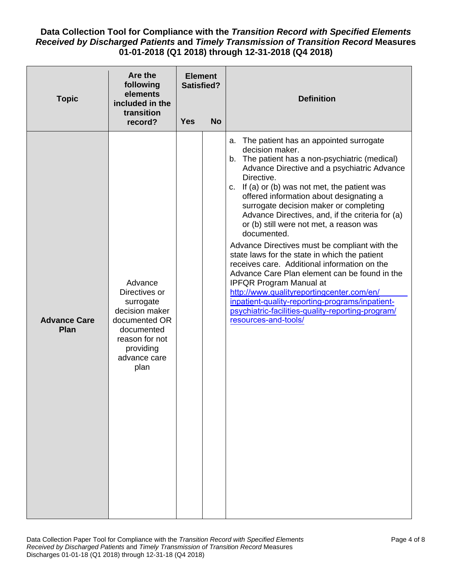| <b>Topic</b>                | Are the<br>following<br>elements<br>included in the<br>transition<br>record?                                                                  | <b>Element</b><br><b>Satisfied?</b><br><b>Yes</b> | <b>No</b> | <b>Definition</b>                                                                                                                                                                                                                                                                                                                                                                                                                                                                                                                                                                                                                                                                                                                                                                                                                                    |
|-----------------------------|-----------------------------------------------------------------------------------------------------------------------------------------------|---------------------------------------------------|-----------|------------------------------------------------------------------------------------------------------------------------------------------------------------------------------------------------------------------------------------------------------------------------------------------------------------------------------------------------------------------------------------------------------------------------------------------------------------------------------------------------------------------------------------------------------------------------------------------------------------------------------------------------------------------------------------------------------------------------------------------------------------------------------------------------------------------------------------------------------|
| <b>Advance Care</b><br>Plan | Advance<br>Directives or<br>surrogate<br>decision maker<br>documented OR<br>documented<br>reason for not<br>providing<br>advance care<br>plan |                                                   |           | The patient has an appointed surrogate<br>а.<br>decision maker.<br>b. The patient has a non-psychiatric (medical)<br>Advance Directive and a psychiatric Advance<br>Directive.<br>c. If (a) or (b) was not met, the patient was<br>offered information about designating a<br>surrogate decision maker or completing<br>Advance Directives, and, if the criteria for (a)<br>or (b) still were not met, a reason was<br>documented.<br>Advance Directives must be compliant with the<br>state laws for the state in which the patient<br>receives care. Additional information on the<br>Advance Care Plan element can be found in the<br><b>IPFQR Program Manual at</b><br>http://www.qualityreportingcenter.com/en/<br>inpatient-quality-reporting-programs/inpatient-<br>psychiatric-facilities-quality-reporting-program/<br>resources-and-tools/ |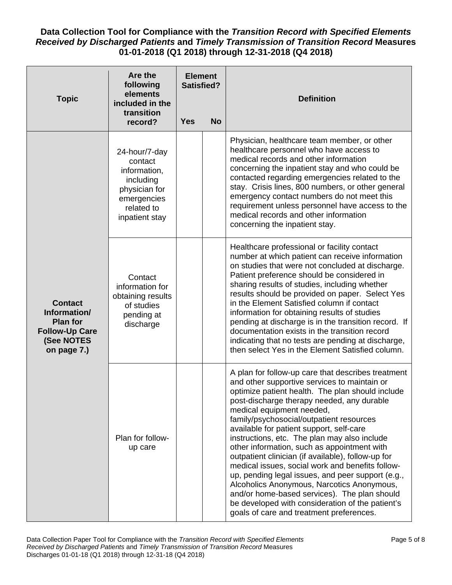| <b>Topic</b>                                                                                            | Are the<br>following<br>elements<br>included in the<br>transition                                                     | <b>Element</b><br><b>Satisfied?</b> |           | <b>Definition</b>                                                                                                                                                                                                                                                                                                                                                                                                                                                                                                                                                                                                                                                                                                                                                                     |
|---------------------------------------------------------------------------------------------------------|-----------------------------------------------------------------------------------------------------------------------|-------------------------------------|-----------|---------------------------------------------------------------------------------------------------------------------------------------------------------------------------------------------------------------------------------------------------------------------------------------------------------------------------------------------------------------------------------------------------------------------------------------------------------------------------------------------------------------------------------------------------------------------------------------------------------------------------------------------------------------------------------------------------------------------------------------------------------------------------------------|
|                                                                                                         | record?                                                                                                               | <b>Yes</b>                          | <b>No</b> |                                                                                                                                                                                                                                                                                                                                                                                                                                                                                                                                                                                                                                                                                                                                                                                       |
| <b>Contact</b><br>Information/<br><b>Plan for</b><br><b>Follow-Up Care</b><br>(See NOTES<br>on page 7.) | 24-hour/7-day<br>contact<br>information,<br>including<br>physician for<br>emergencies<br>related to<br>inpatient stay |                                     |           | Physician, healthcare team member, or other<br>healthcare personnel who have access to<br>medical records and other information<br>concerning the inpatient stay and who could be<br>contacted regarding emergencies related to the<br>stay. Crisis lines, 800 numbers, or other general<br>emergency contact numbers do not meet this<br>requirement unless personnel have access to the<br>medical records and other information<br>concerning the inpatient stay.                                                                                                                                                                                                                                                                                                                  |
|                                                                                                         | Contact<br>information for<br>obtaining results<br>of studies<br>pending at<br>discharge                              |                                     |           | Healthcare professional or facility contact<br>number at which patient can receive information<br>on studies that were not concluded at discharge.<br>Patient preference should be considered in<br>sharing results of studies, including whether<br>results should be provided on paper. Select Yes<br>in the Element Satisfied column if contact<br>information for obtaining results of studies<br>pending at discharge is in the transition record. If<br>documentation exists in the transition record<br>indicating that no tests are pending at discharge,<br>then select Yes in the Element Satisfied column.                                                                                                                                                                 |
|                                                                                                         | Plan for follow-<br>up care                                                                                           |                                     |           | A plan for follow-up care that describes treatment<br>and other supportive services to maintain or<br>optimize patient health. The plan should include<br>post-discharge therapy needed, any durable<br>medical equipment needed,<br>family/psychosocial/outpatient resources<br>available for patient support, self-care<br>instructions, etc. The plan may also include<br>other information, such as appointment with<br>outpatient clinician (if available), follow-up for<br>medical issues, social work and benefits follow-<br>up, pending legal issues, and peer support (e.g.,<br>Alcoholics Anonymous, Narcotics Anonymous,<br>and/or home-based services). The plan should<br>be developed with consideration of the patient's<br>goals of care and treatment preferences. |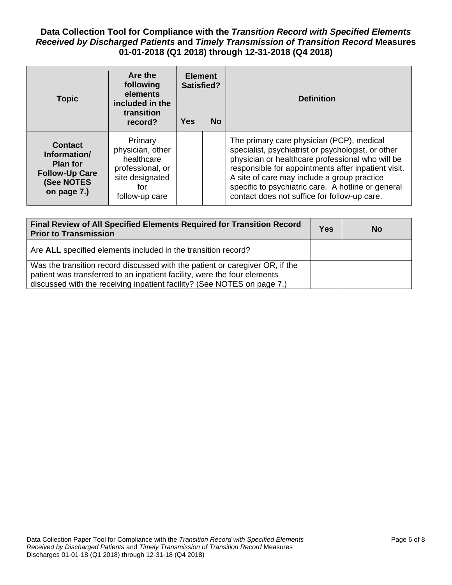| <b>Topic</b>                                                                                            | Are the<br>following<br>elements<br>included in the<br>transition<br>record?                              | <b>Element</b><br>Satisfied?<br><b>Yes</b><br><b>No</b> |  | <b>Definition</b>                                                                                                                                                                                                                                                                                                                                               |
|---------------------------------------------------------------------------------------------------------|-----------------------------------------------------------------------------------------------------------|---------------------------------------------------------|--|-----------------------------------------------------------------------------------------------------------------------------------------------------------------------------------------------------------------------------------------------------------------------------------------------------------------------------------------------------------------|
| <b>Contact</b><br>Information/<br><b>Plan for</b><br><b>Follow-Up Care</b><br>(See NOTES<br>on page 7.) | Primary<br>physician, other<br>healthcare<br>professional, or<br>site designated<br>for<br>follow-up care |                                                         |  | The primary care physician (PCP), medical<br>specialist, psychiatrist or psychologist, or other<br>physician or healthcare professional who will be<br>responsible for appointments after inpatient visit.<br>A site of care may include a group practice<br>specific to psychiatric care. A hotline or general<br>contact does not suffice for follow-up care. |

| Final Review of All Specified Elements Required for Transition Record<br><b>Prior to Transmission</b>                                                                                                                               | <b>Yes</b> | <b>No</b> |
|-------------------------------------------------------------------------------------------------------------------------------------------------------------------------------------------------------------------------------------|------------|-----------|
| Are ALL specified elements included in the transition record?                                                                                                                                                                       |            |           |
| Was the transition record discussed with the patient or caregiver OR, if the<br>patient was transferred to an inpatient facility, were the four elements<br>discussed with the receiving inpatient facility? (See NOTES on page 7.) |            |           |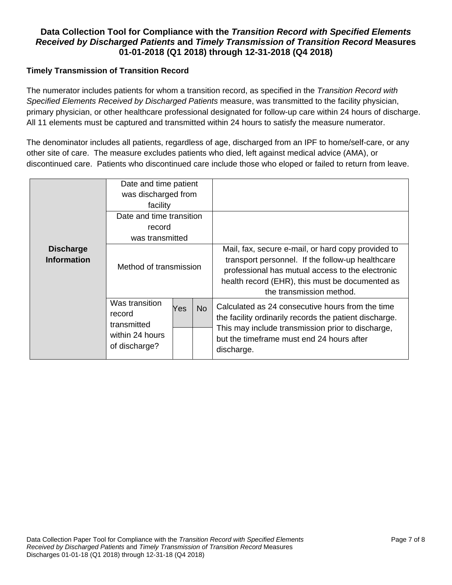#### **Timely Transmission of Transition Record**

The numerator includes patients for whom a transition record, as specified in the *Transition Record with Specified Elements Received by Discharged Patients* measure, was transmitted to the facility physician, primary physician, or other healthcare professional designated for follow-up care within 24 hours of discharge. All 11 elements must be captured and transmitted within 24 hours to satisfy the measure numerator.

The denominator includes all patients, regardless of age, discharged from an IPF to home/self-care, or any other site of care. The measure excludes patients who died, left against medical advice (AMA), or discontinued care. Patients who discontinued care include those who eloped or failed to return from leave.

|                                        | Date and time patient<br>was discharged from<br>facility<br>Date and time transition<br>record<br>was transmitted |                                                                                                                                                                                                                                           |           |                                                                                                                                                                                                                            |
|----------------------------------------|-------------------------------------------------------------------------------------------------------------------|-------------------------------------------------------------------------------------------------------------------------------------------------------------------------------------------------------------------------------------------|-----------|----------------------------------------------------------------------------------------------------------------------------------------------------------------------------------------------------------------------------|
| <b>Discharge</b><br><b>Information</b> | Method of transmission                                                                                            | Mail, fax, secure e-mail, or hard copy provided to<br>transport personnel. If the follow-up healthcare<br>professional has mutual access to the electronic<br>health record (EHR), this must be documented as<br>the transmission method. |           |                                                                                                                                                                                                                            |
|                                        | Was transition<br>record<br>transmitted<br>within 24 hours<br>of discharge?                                       | Yes                                                                                                                                                                                                                                       | <b>No</b> | Calculated as 24 consecutive hours from the time<br>the facility ordinarily records the patient discharge.<br>This may include transmission prior to discharge,<br>but the timeframe must end 24 hours after<br>discharge. |